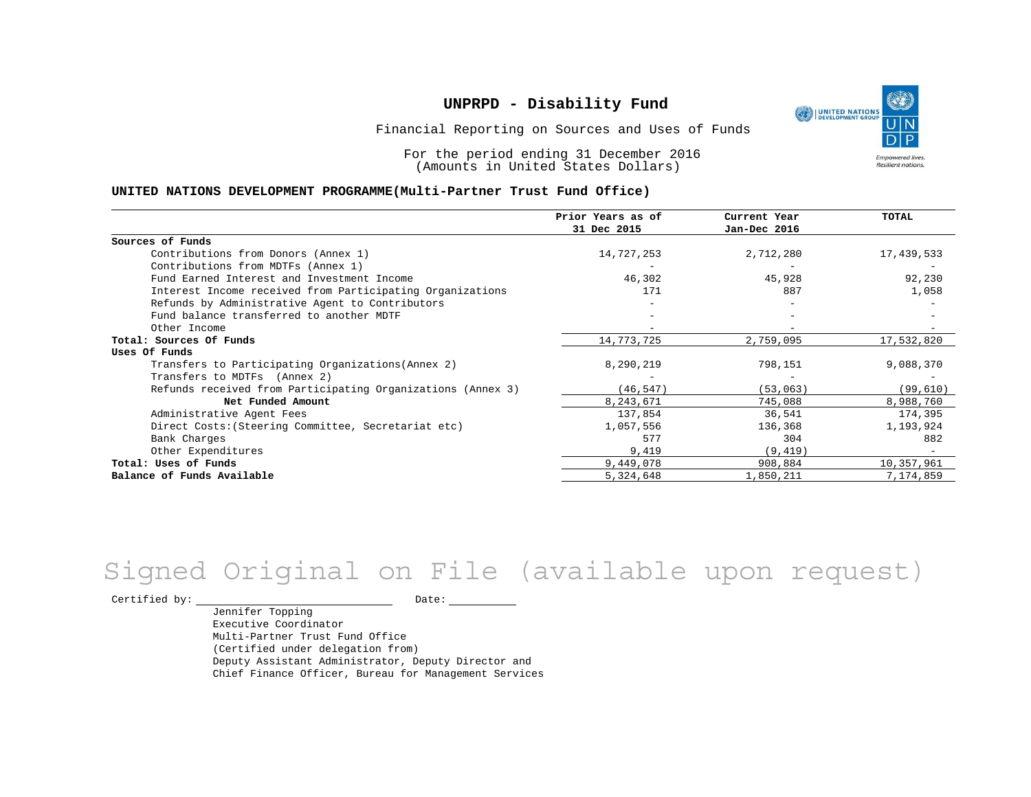

Financial Reporting on Sources and Uses of Funds

For the period ending 31 December 2016 (Amounts in United States Dollars)

#### **UNITED NATIONS DEVELOPMENT PROGRAMME(Multi-Partner Trust Fund Office)**

|                                                             | Prior Years as of | Current Year | TOTAL      |
|-------------------------------------------------------------|-------------------|--------------|------------|
|                                                             | 31 Dec 2015       | Jan-Dec 2016 |            |
| Sources of Funds                                            |                   |              |            |
| Contributions from Donors (Annex 1)                         | 14,727,253        | 2,712,280    | 17,439,533 |
| Contributions from MDTFs (Annex 1)                          |                   |              |            |
| Fund Earned Interest and Investment Income                  | 46,302            | 45,928       | 92,230     |
| Interest Income received from Participating Organizations   | 171               | 887          | 1,058      |
| Refunds by Administrative Agent to Contributors             |                   |              |            |
| Fund balance transferred to another MDTF                    |                   |              |            |
| Other Income                                                |                   |              |            |
| Total: Sources Of Funds                                     | 14,773,725        | 2,759,095    | 17,532,820 |
| Uses Of Funds                                               |                   |              |            |
| Transfers to Participating Organizations (Annex 2)          | 8,290,219         | 798,151      | 9,088,370  |
| Transfers to MDTFs (Annex 2)                                |                   |              |            |
| Refunds received from Participating Organizations (Annex 3) | (46, 547)         | (53, 063)    | (99, 610)  |
| Net Funded Amount                                           | 8,243,671         | 745,088      | 8,988,760  |
| Administrative Agent Fees                                   | 137,854           | 36,541       | 174,395    |
| Direct Costs: (Steering Committee, Secretariat etc)         | 1,057,556         | 136,368      | 1,193,924  |
| Bank Charges                                                | 577               | 304          | 882        |
| Other Expenditures                                          | 9,419             | (9, 419)     |            |
| Total: Uses of Funds                                        | 9,449,078         | 908,884      | 10,357,961 |
| Balance of Funds Available                                  | 5,324,648         | 1,850,211    | 7,174,859  |

# Signed Original on File (available upon request)

 $\begin{tabular}{c} \multicolumn{2}{c}{{\texttt{Certified by:}}}} \thicklines \end{tabular} \vspace{-.5cm} \begin{tabular}{l} \multicolumn{2}{c}{} {\color{blue}Date:} \thicklines \end{tabular} \end{tabular} \vspace{-.5cm} \begin{tabular}{l} \multicolumn{2}{c}{} {\color{blue}Date:} \thicklines \end{tabular} \end{tabular} \vspace{-.5cm} \begin{tabular}{l} \multicolumn{2}{c}{} {\color{blue}Date:} \thicklines \end{tabular} \end{tabular} \vspace{-.5cm} \begin{tabular}{l} \multicolumn{2}{c}{} {\color{$ 

Jennifer Topping Executive Coordinator Multi-Partner Trust Fund Office (Certified under delegation from) Deputy Assistant Administrator, Deputy Director and Chief Finance Officer, Bureau for Management Services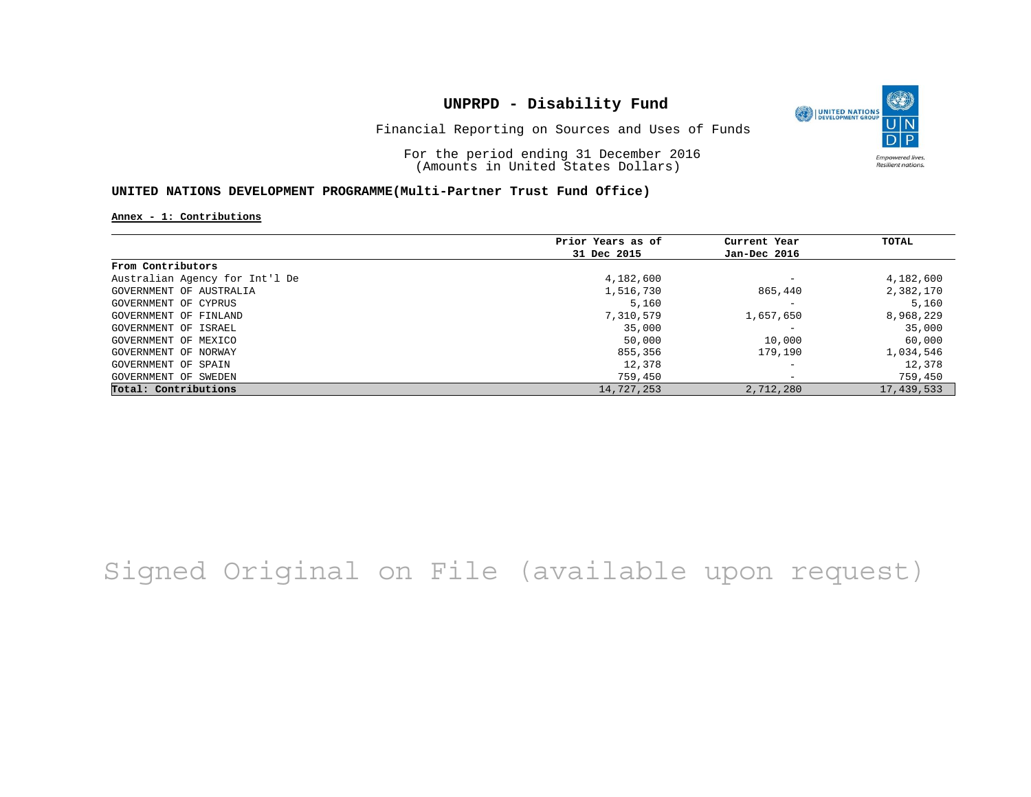

Financial Reporting on Sources and Uses of Funds

For the period ending 31 December 2016 (Amounts in United States Dollars)

### **UNITED NATIONS DEVELOPMENT PROGRAMME(Multi-Partner Trust Fund Office)**

**Annex - 1: Contributions**

|                                | Prior Years as of | Current Year             | TOTAL      |
|--------------------------------|-------------------|--------------------------|------------|
|                                | 31 Dec 2015       | Jan-Dec 2016             |            |
| From Contributors              |                   |                          |            |
| Australian Agency for Int'l De | 4,182,600         | $\overline{\phantom{m}}$ | 4,182,600  |
| GOVERNMENT OF AUSTRALIA        | 1,516,730         | 865,440                  | 2,382,170  |
| GOVERNMENT OF CYPRUS           | 5,160             | $\overline{\phantom{m}}$ | 5,160      |
| GOVERNMENT OF FINLAND          | 7,310,579         | 1,657,650                | 8,968,229  |
| GOVERNMENT OF ISRAEL           | 35,000            | -                        | 35,000     |
| GOVERNMENT OF MEXICO           | 50,000            | 10,000                   | 60,000     |
| GOVERNMENT OF NORWAY           | 855,356           | 179,190                  | 1,034,546  |
| GOVERNMENT OF SPAIN            | 12,378            | $\overline{\phantom{m}}$ | 12,378     |
| GOVERNMENT OF SWEDEN           | 759,450           | $\overline{\phantom{0}}$ | 759,450    |
| Total: Contributions           | 14,727,253        | 2,712,280                | 17,439,533 |

# Signed Original on File (available upon request)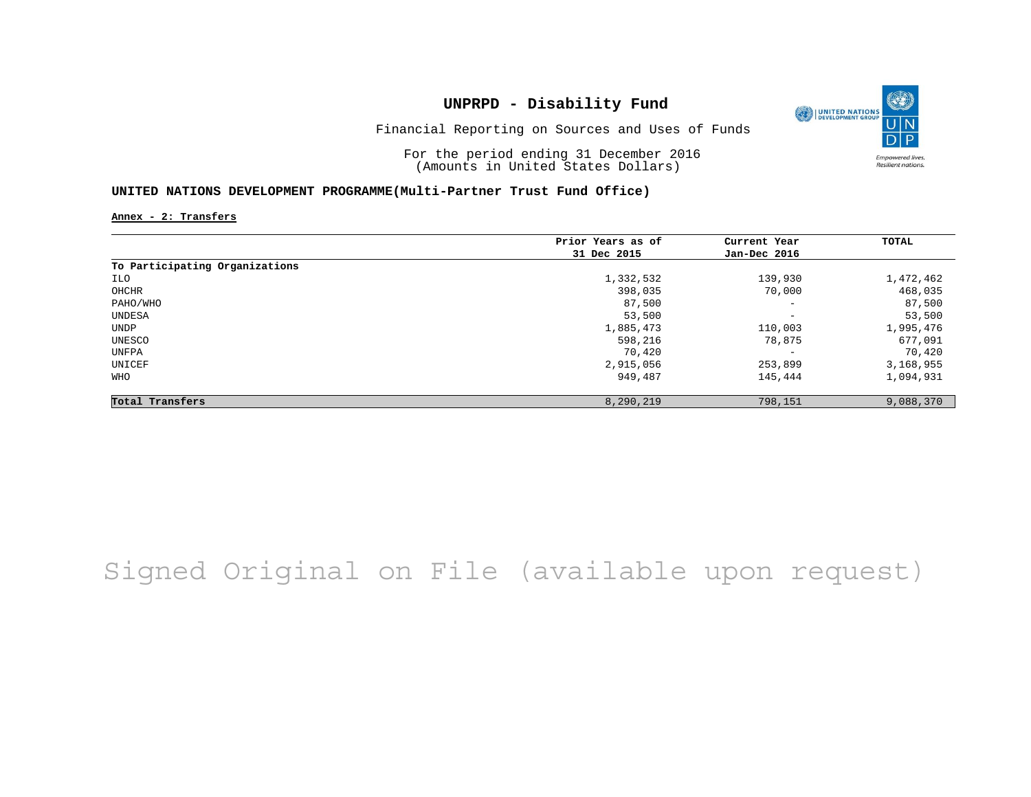

Financial Reporting on Sources and Uses of Funds

For the period ending 31 December 2016 (Amounts in United States Dollars)

### **UNITED NATIONS DEVELOPMENT PROGRAMME(Multi-Partner Trust Fund Office)**

**Annex - 2: Transfers**

|                                | Prior Years as of | Current Year             | TOTAL     |
|--------------------------------|-------------------|--------------------------|-----------|
|                                | 31 Dec 2015       | Jan-Dec 2016             |           |
| To Participating Organizations |                   |                          |           |
| ILO                            | 1,332,532         | 139,930                  | 1,472,462 |
| OHCHR                          | 398,035           | 70,000                   | 468,035   |
| PAHO/WHO                       | 87,500            | $\overline{\phantom{a}}$ | 87,500    |
| UNDESA                         | 53,500            | $\overline{\phantom{a}}$ | 53,500    |
| UNDP                           | 1,885,473         | 110,003                  | 1,995,476 |
| UNESCO                         | 598,216           | 78,875                   | 677,091   |
| UNFPA                          | 70,420            | $\overline{\phantom{m}}$ | 70,420    |
| UNICEF                         | 2,915,056         | 253,899                  | 3,168,955 |
| WHO                            | 949,487           | 145,444                  | 1,094,931 |
| Total Transfers                | 8,290,219         | 798,151                  | 9,088,370 |

# Signed Original on File (available upon request)